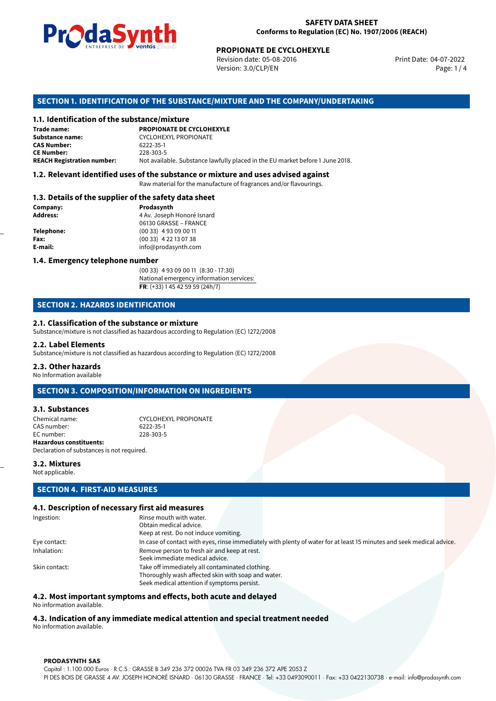

#### **SAFETY DATA SHEET Conforms to Regulation (EC) No. 1907/2006 (REACH)**

Revision date: 05-08-2016 Version: 3.0/CLP/EN Page: 1 / 4

Print Date: 04-07-2022

## **SECTION 1. IDENTIFICATION OF THE SUBSTANCE/MIXTURE AND THE COMPANY/UNDERTAKING**

#### **1.1. Identification of the substance/mixture**

|                                              | LIVINE FRISE DE SUITUS SUSSISSION                                             | <b>PROPIONATE DE CYCLOHEXYLE</b><br>Revision date: 05-08-2016<br>Version: 3.0/CLP/EN |  |
|----------------------------------------------|-------------------------------------------------------------------------------|--------------------------------------------------------------------------------------|--|
|                                              |                                                                               | SECTION 1. IDENTIFICATION OF THE SUBSTANCE/MIXTURE AND THE COMPANY/UNDERTAKI         |  |
| 1.1. Identification of the substance/mixture |                                                                               |                                                                                      |  |
| Trade name:                                  | <b>PROPIONATE DE CYCLOHEXYLE</b>                                              |                                                                                      |  |
| Substance name:                              | CYCLOHEXYL PROPIONATE                                                         |                                                                                      |  |
| <b>CAS Number:</b>                           | 6222-35-1                                                                     |                                                                                      |  |
| <b>CE Number:</b>                            | 228-303-5                                                                     |                                                                                      |  |
| <b>REACH Registration number:</b>            | Not available. Substance lawfully placed in the EU market before 1 June 2018. |                                                                                      |  |
|                                              |                                                                               |                                                                                      |  |

#### **1.2. Relevant identified uses of the substance or mixture and uses advised against**

Raw material for the manufacture of fragrances and/or flavourings.

#### **1.3. Details of the supplier of the safety data sheet**

| Company:          | Prodasynth                 |  |
|-------------------|----------------------------|--|
| <b>Address:</b>   | 4 Av. Joseph Honoré Isnard |  |
|                   | 06130 GRASSE - FRANCE      |  |
| <b>Telephone:</b> | $(0033)$ 4 93 09 00 11     |  |
| Fax:              | $(0033)$ 4 22 13 07 38     |  |
| E-mail:           | info@prodasynth.com        |  |
|                   |                            |  |

#### **1.4. Emergency telephone number**

(00 33) 4 93 09 00 11 (8:30 - 17:30) National emergency information services: **FR**: (+33) 1 45 42 59 59 (24h/7)

# **SECTION 2. HAZARDS IDENTIFICATION**

#### **2.1. Classification of the substance or mixture**

Substance/mixture is not classified as hazardous according to Regulation (EC) 1272/2008

#### **2.2. Label Elements**

Substance/mixture is not classified as hazardous according to Regulation (EC) 1272/2008

#### **2.3. Other hazards**

No Information available

# **SECTION 3. COMPOSITION/INFORMATION ON INGREDIENTS**

#### **3.1. Substances**

Chemical name: CYCLOHEXYL PROPIONATE CAS number: 6222-35-1 EC number: **Hazardous constituents:** Declaration of substances is not required.

#### **3.2. Mixtures**

Not applicable.

# **SECTION 4. FIRST-AID MEASURES**

#### **4.1. Description of necessary first aid measures**

| Ingestion:    | Rinse mouth with water.                                                                                               |  |
|---------------|-----------------------------------------------------------------------------------------------------------------------|--|
|               | Obtain medical advice.                                                                                                |  |
|               | Keep at rest. Do not induce vomiting.                                                                                 |  |
| Eye contact:  | In case of contact with eyes, rinse immediately with plenty of water for at least 15 minutes and seek medical advice. |  |
| Inhalation:   | Remove person to fresh air and keep at rest.                                                                          |  |
|               | Seek immediate medical advice.                                                                                        |  |
| Skin contact: | Take off immediately all contaminated clothing.                                                                       |  |
|               | Thoroughly wash affected skin with soap and water.                                                                    |  |
|               | Seek medical attention if symptoms persist.                                                                           |  |
|               |                                                                                                                       |  |

#### **4.2. Most important symptoms and effects, both acute and delayed**

No information available.

# **4.3. Indication of any immediate medical attention and special treatment needed**

No information available.

#### **PRODASYNTH SAS**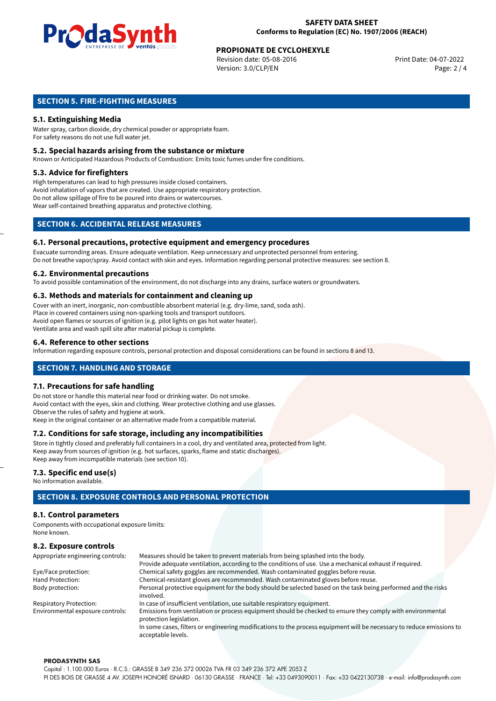

# **PROPIONATE DE CYCLOHEXYLE**<br>
Revision date: 05-08-2016<br> **Print Date: 04-07-2022**

Revision date: 05-08-2016 Version: 3.0/CLP/EN Page: 2 / 4

# **SECTION 5. FIRE-FIGHTING MEASURES**

# **5.1. Extinguishing Media**

Water spray, carbon dioxide, dry chemical powder or appropriate foam. For safety reasons do not use full water jet.

#### **5.2. Special hazards arising from the substance or mixture**

Known or Anticipated Hazardous Products of Combustion: Emits toxic fumes under fire conditions.

#### **5.3. Advice for firefighters**

High temperatures can lead to high pressures inside closed containers. Avoid inhalation of vapors that are created. Use appropriate respiratory protection. Do not allow spillage of fire to be poured into drains or watercourses. Wear self-contained breathing apparatus and protective clothing.

# **SECTION 6. ACCIDENTAL RELEASE MEASURES**

#### **6.1. Personal precautions, protective equipment and emergency procedures**

Evacuate surronding areas. Ensure adequate ventilation. Keep unnecessary and unprotected personnel from entering. Do not breathe vapor/spray. Avoid contact with skin and eyes. Information regarding personal protective measures: see section 8.

#### **6.2. Environmental precautions**

To avoid possible contamination of the environment, do not discharge into any drains, surface waters or groundwaters.

#### **6.3. Methods and materials for containment and cleaning up**

Cover with an inert, inorganic, non-combustible absorbent material (e.g. dry-lime, sand, soda ash). Place in covered containers using non-sparking tools and transport outdoors. Avoid open flames or sources of ignition (e.g. pilot lights on gas hot water heater). Ventilate area and wash spill site after material pickup is complete.

#### **6.4. Reference to other sections**

Information regarding exposure controls, personal protection and disposal considerations can be found in sections 8 and 13.

# **SECTION 7. HANDLING AND STORAGE**

#### **7.1. Precautions for safe handling**

Do not store or handle this material near food or drinking water. Do not smoke. Avoid contact with the eyes, skin and clothing. Wear protective clothing and use glasses. Observe the rules of safety and hygiene at work. Keep in the original container or an alternative made from a compatible material.

# **7.2. Conditions for safe storage, including any incompatibilities**

Store in tightly closed and preferably full containers in a cool, dry and ventilated area, protected from light. Keep away from sources of ignition (e.g. hot surfaces, sparks, flame and static discharges). Keep away from incompatible materials (see section 10).

#### **7.3. Specific end use(s)**

No information available.

# **SECTION 8. EXPOSURE CONTROLS AND PERSONAL PROTECTION**

#### **8.1. Control parameters**

Components with occupational exposure limits: None known.

# **8.2. Exposure controls**

| Appropriate engineering controls: | Measures should be taken to prevent materials from being splashed into the body.                                                            |  |  |  |
|-----------------------------------|---------------------------------------------------------------------------------------------------------------------------------------------|--|--|--|
|                                   | Provide adequate ventilation, according to the conditions of use. Use a mechanical exhaust if required.                                     |  |  |  |
| Eye/Face protection:              | Chemical safety goggles are recommended. Wash contaminated goggles before reuse.                                                            |  |  |  |
| Hand Protection:                  | Chemical-resistant gloves are recommended. Wash contaminated gloves before reuse.                                                           |  |  |  |
| Body protection:                  | Personal protective equipment for the body should be selected based on the task being performed and the risks                               |  |  |  |
|                                   | involved.                                                                                                                                   |  |  |  |
| <b>Respiratory Protection:</b>    | In case of insufficient ventilation, use suitable respiratory equipment.                                                                    |  |  |  |
| Environmental exposure controls:  | Emissions from ventilation or process equipment should be checked to ensure they comply with environmental<br>protection legislation.       |  |  |  |
|                                   | In some cases, filters or engineering modifications to the process equipment will be necessary to reduce emissions to<br>acceptable levels. |  |  |  |

#### **PRODASYNTH SAS**

Capital : 1.100.000 Euros · R.C.S.: GRASSE B 349 236 372 00026 TVA FR 03 349 236 372 APE 2053 Z PI DES BOIS DE GRASSE 4 AV. JOSEPH HONORÉ ISNARD · 06130 GRASSE · FRANCE · Tel: +33 0493090011 · Fax: +33 0422130738 · e-mail: info@prodasynth.com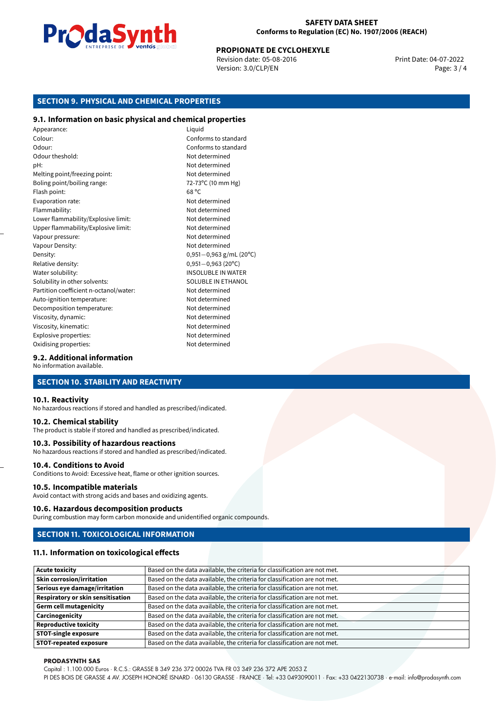

#### **SAFETY DATA SHEET Conforms to Regulation (EC) No. 1907/2006 (REACH)**

# **PROPIONATE DE CYCLOHEXYLE**<br>
Revision date: 05-08-2016<br>
Print Date: 04-07-2022

Revision date: 05-08-2016 Version: 3.0/CLP/EN Page: 3 / 4

# **SECTION 9. PHYSICAL AND CHEMICAL PROPERTIES**

#### **9.1. Information on basic physical and chemical properties**

Appearance: Liquid Colour: Conforms to standard Odour: Conforms to standard Odour theshold: Not determined pH: Not determined Melting point/freezing point:<br>Boling point/boiling range:  $\frac{1}{2}$  and  $\frac{1}{2}$  and  $\frac{1}{2}$  and  $\frac{1}{2}$  and  $\frac{1}{2}$  and  $\frac{1}{2}$  and  $\frac{1}{2}$  and  $\frac{1}{2}$  and  $\frac{1}{2}$  and  $\frac{1}{2}$  and  $\frac{1}{2}$  and  $\frac{1}{2}$  Boling point/boiling range: Flash point: 68 °C Evaporation rate: Not determined Flammability: Not determined Lower flammability/Explosive limit: Not determined Upper flammability/Explosive limit: Not determined Vapour pressure: Vapour pressure: Not determined Vapour Density: Not determined Density: 0,951−0,963 g/mL (20°C)<br>Relative density: 0,951−0,963 (20°C) Relative density: 0,951−0,963 (20<sup>o</sup>C)<br>Water solubility: 0,951−0,963 (20<sup>o</sup>C) Solubility in other solvents: SOLUBLE IN ETHANOL Partition coefficient n-octanol/water: Not determined Auto-ignition temperature: Not determined Decomposition temperature: Not determined Viscosity, dynamic:  $\blacksquare$ Viscosity, kinematic: Not determined Explosive properties: Not determined Oxidising properties: Not determined

**INSOLUBLE IN WATER** 

#### **9.2. Additional information**

No information available.

## **SECTION 10. STABILITY AND REACTIVITY**

#### **10.1. Reactivity**

No hazardous reactions if stored and handled as prescribed/indicated.

#### **10.2. Chemical stability**

The product is stable if stored and handled as prescribed/indicated.

#### **10.3. Possibility of hazardous reactions**

No hazardous reactions if stored and handled as prescribed/indicated.

#### **10.4. Conditions to Avoid**

Conditions to Avoid: Excessive heat, flame or other ignition sources.

#### **10.5. Incompatible materials**

Avoid contact with strong acids and bases and oxidizing agents.

#### **10.6. Hazardous decomposition products**

During combustion may form carbon monoxide and unidentified organic compounds.

#### **SECTION 11. TOXICOLOGICAL INFORMATION**

#### **11.1. Information on toxicological effects**

| <b>Acute toxicity</b>                    | Based on the data available, the criteria for classification are not met. |
|------------------------------------------|---------------------------------------------------------------------------|
| <b>Skin corrosion/irritation</b>         | Based on the data available, the criteria for classification are not met. |
| Serious eye damage/irritation            | Based on the data available, the criteria for classification are not met. |
| <b>Respiratory or skin sensitisation</b> | Based on the data available, the criteria for classification are not met. |
| <b>Germ cell mutagenicity</b>            | Based on the data available, the criteria for classification are not met. |
| Carcinogenicity                          | Based on the data available, the criteria for classification are not met. |
| <b>Reproductive toxicity</b>             | Based on the data available, the criteria for classification are not met. |
| <b>STOT-single exposure</b>              | Based on the data available, the criteria for classification are not met. |
| <b>STOT-repeated exposure</b>            | Based on the data available, the criteria for classification are not met. |

#### **PRODASYNTH SAS**

Capital : 1.100.000 Euros · R.C.S.: GRASSE B 349 236 372 00026 TVA FR 03 349 236 372 APE 2053 Z

PI DES BOIS DE GRASSE 4 AV. JOSEPH HONORÉ ISNARD · 06130 GRASSE · FRANCE · Tel: +33 0493090011 · Fax: +33 0422130738 · e-mail: info@prodasynth.com